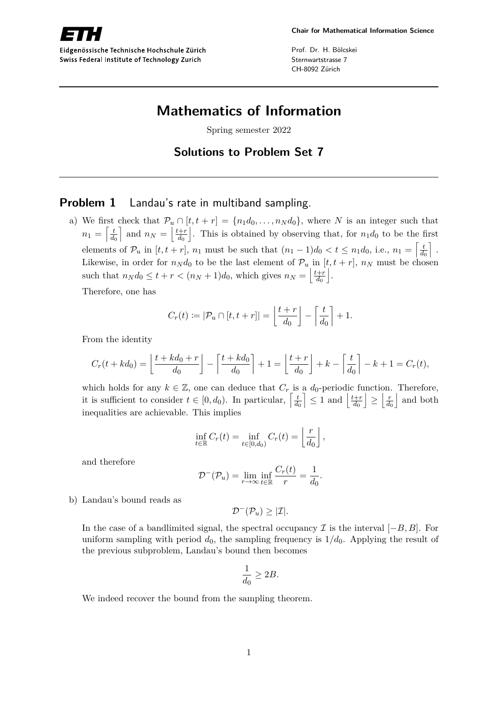Eidgenössische Technische Hochschule Zürich Swiss Federal Institute of Technology Zurich

Prof. Dr. H. Bölcskei Sternwartstrasse 7 CH-8092 Zürich

## **Mathematics of Information**

Spring semester 2022

**Solutions to Problem Set 7**

## **Problem 1** Landau's rate in multiband sampling.

a) We first check that  $\mathcal{P}_u \cap [t, t + r] = \{n_1 d_0, \ldots, n_N d_0\}$ , where *N* is an integer such that  $n_1 = \left\lceil \frac{t}{d_1} \right\rceil$  $\overline{d_0}$ and  $n_N = \frac{t+r}{d_0}$  $\overline{d_0}$ . This is obtained by observing that, for  $n_1d_0$  to be the first elements of  $\mathcal{P}_u$  in  $[t, t + r]$ ,  $n_1$  must be such that  $(n_1 - 1)d_0 < t \leq n_1d_0$ , i.e.,  $n_1 = \begin{bmatrix} \frac{t}{d} & t & t \\ 0 & \frac{t}{d} & t \end{bmatrix}$  $d_0$ m . Likewise, in order for  $n_N d_0$  to be the last element of  $\mathcal{P}_u$  in  $[t, t + r]$ ,  $n_N$  must be chosen such that  $n_N d_0 \le t + r < (n_N + 1)d_0$ , which gives  $n_N = \left| \frac{t + r}{d_0} \right|$ *d*0  $\vert$ .

Therefore, one has

$$
C_r(t) := |\mathcal{P}_u \cap [t, t+r]| = \left\lfloor \frac{t+r}{d_0} \right\rfloor - \left\lceil \frac{t}{d_0} \right\rceil + 1.
$$

From the identity

$$
C_r(t+kd_0) = \left\lfloor \frac{t+kd_0+r}{d_0} \right\rfloor - \left\lceil \frac{t+kd_0}{d_0} \right\rceil + 1 = \left\lfloor \frac{t+r}{d_0} \right\rfloor + k - \left\lceil \frac{t}{d_0} \right\rceil - k + 1 = C_r(t),
$$

which holds for any  $k \in \mathbb{Z}$ , one can deduce that  $C_r$  is a  $d_0$ -periodic function. Therefore, it is sufficient to consider  $t \in [0, d_0)$ . In particular,  $\begin{bmatrix} \frac{t}{d} \end{bmatrix}$  $\overline{d_0}$  $\vert \leq 1$  and  $\vert \frac{t+r}{d_0} \vert$  $\overline{d_0}$  $\vert \geq \vert \frac{r}{d}$  $\overline{d_0}$ | and both inequalities are achievable. This implies

$$
\inf_{t \in \mathbb{R}} C_r(t) = \inf_{t \in [0,d_0)} C_r(t) = \left\lfloor \frac{r}{d_0} \right\rfloor,
$$

and therefore

$$
\mathcal{D}^{-}(\mathcal{P}_{u}) = \lim_{r \to \infty} \inf_{t \in \mathbb{R}} \frac{C_{r}(t)}{r} = \frac{1}{d_{0}}.
$$

b) Landau's bound reads as

 $\mathcal{D}^-(\mathcal{P}_u) \geq |\mathcal{I}|.$ 

In the case of a bandlimited signal, the spectral occupancy  $\mathcal I$  is the interval  $[-B, B]$ . For uniform sampling with period  $d_0$ , the sampling frequency is  $1/d_0$ . Applying the result of the previous subproblem, Landau's bound then becomes

$$
\frac{1}{d_0}\geq 2B.
$$

We indeed recover the bound from the sampling theorem.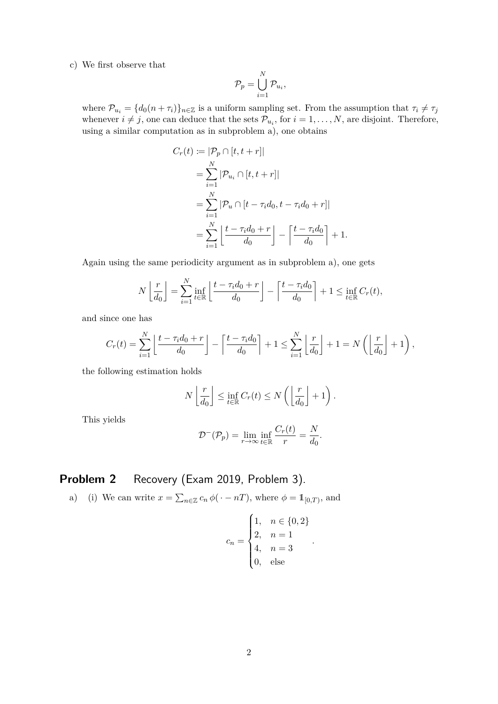## c) We first observe that

$$
\mathcal{P}_p = \bigcup_{i=1}^N \mathcal{P}_{u_i},
$$

where  $\mathcal{P}_{u_i} = \{d_0(n + \tau_i)\}_{n \in \mathbb{Z}}$  is a uniform sampling set. From the assumption that  $\tau_i \neq \tau_j$ whenever  $i \neq j$ , one can deduce that the sets  $\mathcal{P}_{u_i}$ , for  $i = 1, \ldots, N$ , are disjoint. Therefore, using a similar computation as in subproblem a), one obtains

$$
C_r(t) := |\mathcal{P}_p \cap [t, t + r]|
$$
  
=  $\sum_{i=1}^N |\mathcal{P}_{u_i} \cap [t, t + r]|$   
=  $\sum_{i=1}^N |\mathcal{P}_u \cap [t - \tau_i d_0, t - \tau_i d_0 + r]|$   
=  $\sum_{i=1}^N \left[ \frac{t - \tau_i d_0 + r}{d_0} \right] - \left[ \frac{t - \tau_i d_0}{d_0} \right] + 1.$ 

Again using the same periodicity argument as in subproblem a), one gets

$$
N\left\lfloor\frac{r}{d_0}\right\rfloor = \sum_{i=1}^N \inf_{t\in\mathbb{R}} \left\lfloor\frac{t-\tau_i d_0+r}{d_0}\right\rfloor - \left\lceil\frac{t-\tau_i d_0}{d_0}\right\rceil + 1 \le \inf_{t\in\mathbb{R}} C_r(t),
$$

and since one has

$$
C_r(t) = \sum_{i=1}^N \left\lfloor \frac{t - \tau_i d_0 + r}{d_0} \right\rfloor - \left\lceil \frac{t - \tau_i d_0}{d_0} \right\rceil + 1 \le \sum_{i=1}^N \left\lfloor \frac{r}{d_0} \right\rfloor + 1 = N\left(\left\lfloor \frac{r}{d_0} \right\rfloor + 1\right),
$$

the following estimation holds

$$
N\left\lfloor\frac{r}{d_0}\right\rfloor \le \inf_{t\in\mathbb{R}} C_r(t) \le N\left(\left\lfloor\frac{r}{d_0}\right\rfloor + 1\right).
$$

This yields

$$
\mathcal{D}^{-}(\mathcal{P}_{p}) = \lim_{r \to \infty} \inf_{t \in \mathbb{R}} \frac{C_{r}(t)}{r} = \frac{N}{d_{0}}.
$$

## **Problem 2** Recovery (Exam 2019, Problem 3).

a) (i) We can write  $x = \sum_{n \in \mathbb{Z}} c_n \phi(\cdot - n)$ , where  $\phi = \mathbb{1}_{[0,T)}$ , and

$$
c_n = \begin{cases} 1, & n \in \{0, 2\} \\ 2, & n = 1 \\ 4, & n = 3 \\ 0, & \text{else} \end{cases}.
$$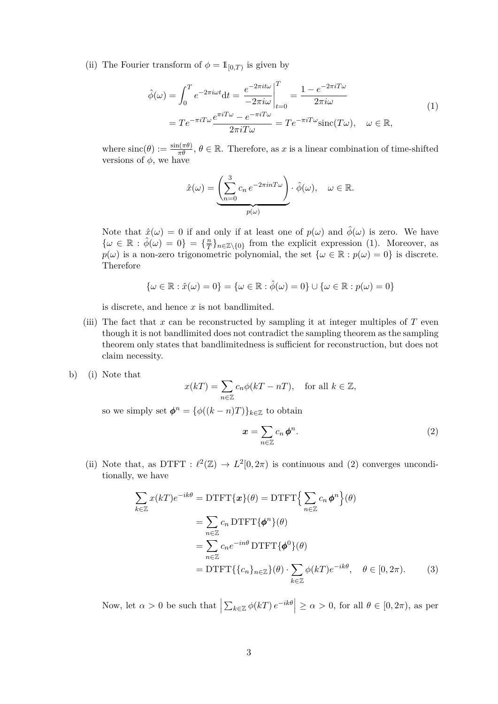(ii) The Fourier transform of  $\phi = \mathbb{1}_{[0,T)}$  is given by

$$
\hat{\phi}(\omega) = \int_0^T e^{-2\pi i \omega t} dt = \frac{e^{-2\pi i t \omega}}{-2\pi i \omega} \Big|_{t=0}^T = \frac{1 - e^{-2\pi i T \omega}}{2\pi i \omega}
$$
\n
$$
= T e^{-\pi i T \omega} \frac{e^{\pi i T \omega} - e^{-\pi i T \omega}}{2\pi i T \omega} = T e^{-\pi i T \omega} \text{sinc}(T\omega), \quad \omega \in \mathbb{R},
$$
\n(1)

where  $\text{sinc}(\theta) := \frac{\sin(\pi \theta)}{\pi \theta}, \theta \in \mathbb{R}$ . Therefore, as *x* is a linear combination of time-shifted versions of  $\phi$ , we have

$$
\hat{x}(\omega) = \underbrace{\left(\sum_{n=0}^{3} c_n e^{-2\pi i n T \omega}\right)}_{p(\omega)} \cdot \hat{\phi}(\omega), \quad \omega \in \mathbb{R}.
$$

Note that  $\hat{x}(\omega) = 0$  if and only if at least one of  $p(\omega)$  and  $\hat{\phi}(\omega)$  is zero. We have  $\{\omega \in \mathbb{R} : \hat{\phi}(\omega) = 0\} = \{\frac{n}{7}\}$  $T^{\frac{n}{T}}\}_{n\in\mathbb{Z}\setminus\{0\}}$  from the explicit expression (1). Moreover, as  $p(\omega)$  is a non-zero trigonometric polynomial, the set  $\{\omega \in \mathbb{R} : p(\omega) = 0\}$  is discrete. Therefore

$$
\{\omega \in \mathbb{R} : \hat{x}(\omega) = 0\} = \{\omega \in \mathbb{R} : \hat{\phi}(\omega) = 0\} \cup \{\omega \in \mathbb{R} : p(\omega) = 0\}
$$

is discrete, and hence *x* is not bandlimited.

- (iii) The fact that  $x$  can be reconstructed by sampling it at integer multiples of  $T$  even though it is not bandlimited does not contradict the sampling theorem as the sampling theorem only states that bandlimitedness is sufficient for reconstruction, but does not claim necessity.
- b) (i) Note that

$$
x(kT) = \sum_{n \in \mathbb{Z}} c_n \phi(kT - nT), \quad \text{for all } k \in \mathbb{Z},
$$

so we simply set  $\phi^n = {\phi((k-n)T)}_{k \in \mathbb{Z}}$  to obtain

$$
x = \sum_{n \in \mathbb{Z}} c_n \phi^n.
$$
 (2)

(ii) Note that, as DTFT :  $\ell^2(\mathbb{Z}) \to L^2[0, 2\pi)$  is continuous and (2) converges unconditionally, we have

$$
\sum_{k \in \mathbb{Z}} x(kT)e^{-ik\theta} = \text{DTFT}\{\mathbf{x}\}(\theta) = \text{DTFT}\Big{\sum_{n \in \mathbb{Z}} c_n \phi^n\Big}(\theta)
$$

$$
= \sum_{n \in \mathbb{Z}} c_n \text{DTFT}\{\phi^n\}(\theta)
$$

$$
= \sum_{n \in \mathbb{Z}} c_n e^{-in\theta} \text{DTFT}\{\phi^0\}(\theta)
$$

$$
= \text{DTFT}\{\{c_n\}_{n \in \mathbb{Z}}\}(\theta) \cdot \sum_{k \in \mathbb{Z}} \phi(kT)e^{-ik\theta}, \quad \theta \in [0, 2\pi). \tag{3}
$$

Now, let  $\alpha > 0$  be such that  $\left| \sum_{k \in \mathbb{Z}} \phi(kT) e^{-ik\theta} \right| \ge \alpha > 0$ , for all  $\theta \in [0, 2\pi)$ , as per